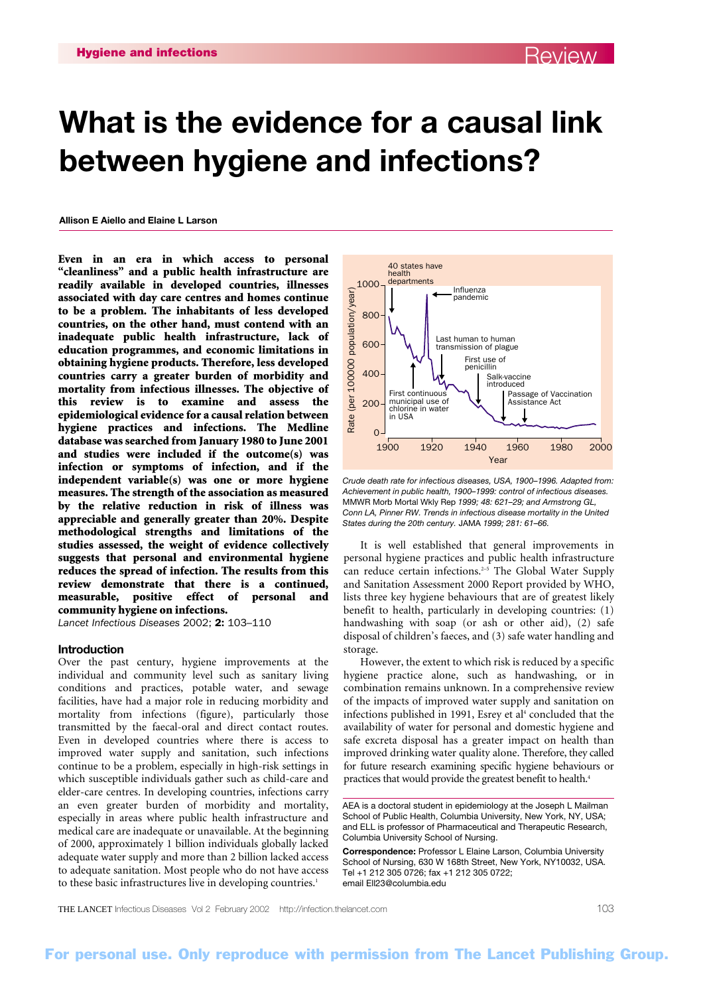# **What is the evidence for a causal link between hygiene and infections?**

**Allison E Aiello and Elaine L Larson**

**Even in an era in which access to personal "cleanliness" and a public health infrastructure are readily available in developed countries, illnesses associated with day care centres and homes continue to be a problem. The inhabitants of less developed countries, on the other hand, must contend with an inadequate public health infrastructure, lack of education programmes, and economic limitations in obtaining hygiene products. Therefore, less developed countries carry a greater burden of morbidity and mortality from infectious illnesses. The objective of this review is to examine and assess the epidemiological evidence for a causal relation between hygiene practices and infections. The Medline database was searched from January 1980 to June 2001 and studies were included if the outcome(s) was infection or symptoms of infection, and if the independent variable(s) was one or more hygiene measures. The strength of the association as measured by the relative reduction in risk of illness was appreciable and generally greater than 20%. Despite methodological strengths and limitations of the studies assessed, the weight of evidence collectively suggests that personal and environmental hygiene reduces the spread of infection. The results from this review demonstrate that there is a continued, measurable, positive effect of personal and community hygiene on infections.**

*Lancet Infectious Diseases* 2002; 2: 103–110

#### **Introduction**

Over the past century, hygiene improvements at the individual and community level such as sanitary living conditions and practices, potable water, and sewage facilities, have had a major role in reducing morbidity and mortality from infections (figure), particularly those transmitted by the faecal-oral and direct contact routes. Even in developed countries where there is access to improved water supply and sanitation, such infections continue to be a problem, especially in high-risk settings in which susceptible individuals gather such as child-care and elder-care centres. In developing countries, infections carry an even greater burden of morbidity and mortality, especially in areas where public health infrastructure and medical care are inadequate or unavailable. At the beginning of 2000, approximately 1 billion individuals globally lacked adequate water supply and more than 2 billion lacked access to adequate sanitation. Most people who do not have access to these basic infrastructures live in developing countries.<sup>1</sup>



*Crude death rate for infectious diseases, USA, 1900–1996. Adapted from: Achievement in public health, 1900–1999: control of infectious diseases.* MMWR Morb Mortal Wkly Rep *1999;48: 621–29; and Armstrong GL, Conn LA, Pinner RW. Trends in infectious disease mortality in the United States during the 20th century.* JAMA *1999; 281: 61–66.*

It is well established that general improvements in personal hygiene practices and public health infrastructure can reduce certain infections.<sup>2-5</sup> The Global Water Supply and Sanitation Assessment 2000 Report provided by WHO, lists three key hygiene behaviours that are of greatest likely benefit to health, particularly in developing countries: (1) handwashing with soap (or ash or other aid), (2) safe disposal of children's faeces, and (3) safe water handling and storage.

However, the extent to which risk is reduced by a specific hygiene practice alone, such as handwashing, or in combination remains unknown. In a comprehensive review of the impacts of improved water supply and sanitation on infections published in 1991, Esrey et al<sup>4</sup> concluded that the availability of water for personal and domestic hygiene and safe excreta disposal has a greater impact on health than improved drinking water quality alone. Therefore, they called for future research examining specific hygiene behaviours or practices that would provide the greatest benefit to health.4

AEA is a doctoral student in epidemiology at the Joseph L Mailman School of Public Health, Columbia University, New York, NY, USA; and ELL is professor of Pharmaceutical and Therapeutic Research, Columbia University School of Nursing.

**Correspondence:** Professor L Elaine Larson, Columbia University School of Nursing, 630 W 168th Street, New York, NY10032, USA. Tel +1 212 305 0726; fax +1 212 305 0722; email Ell23@columbia.edu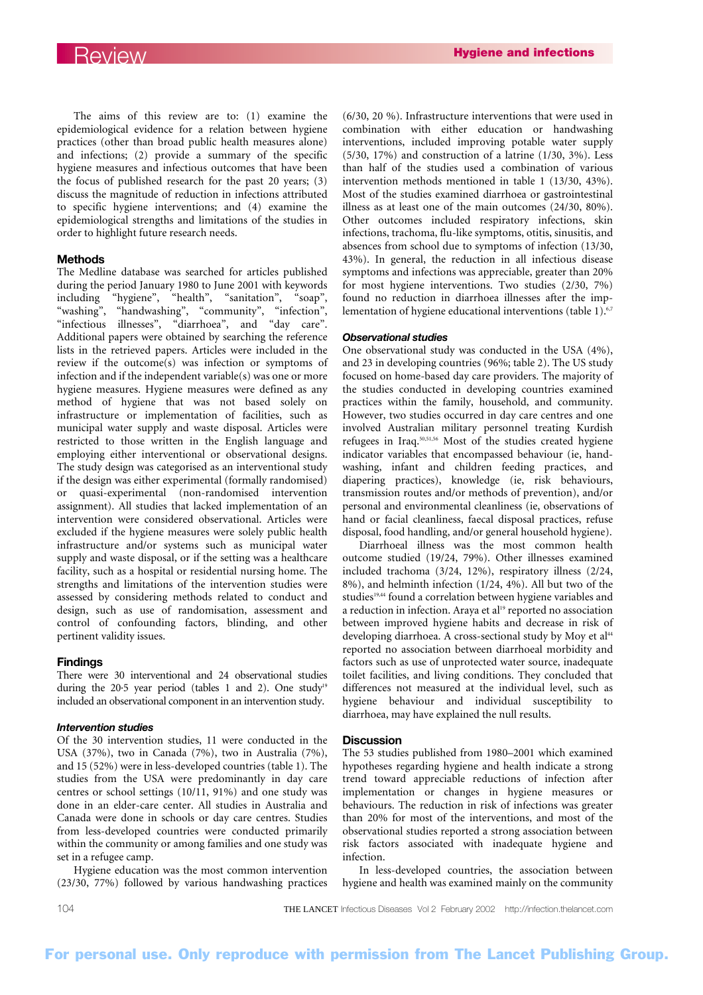The aims of this review are to: (1) examine the epidemiological evidence for a relation between hygiene practices (other than broad public health measures alone) and infections; (2) provide a summary of the specific hygiene measures and infectious outcomes that have been the focus of published research for the past 20 years; (3) discuss the magnitude of reduction in infections attributed to specific hygiene interventions; and (4) examine the epidemiological strengths and limitations of the studies in order to highlight future research needs.

#### **Methods**

The Medline database was searched for articles published during the period January 1980 to June 2001 with keywords including "hygiene", "health", "sanitation", "soap", "washing", "handwashing", "community", "infection", "infectious illnesses", "diarrhoea", and "day care". Additional papers were obtained by searching the reference lists in the retrieved papers. Articles were included in the review if the outcome(s) was infection or symptoms of infection and if the independent variable(s) was one or more hygiene measures. Hygiene measures were defined as any method of hygiene that was not based solely on infrastructure or implementation of facilities, such as municipal water supply and waste disposal. Articles were restricted to those written in the English language and employing either interventional or observational designs. The study design was categorised as an interventional study if the design was either experimental (formally randomised) or quasi-experimental (non-randomised intervention assignment). All studies that lacked implementation of an intervention were considered observational. Articles were excluded if the hygiene measures were solely public health infrastructure and/or systems such as municipal water supply and waste disposal, or if the setting was a healthcare facility, such as a hospital or residential nursing home. The strengths and limitations of the intervention studies were assessed by considering methods related to conduct and design, such as use of randomisation, assessment and control of confounding factors, blinding, and other pertinent validity issues.

#### **Findings**

There were 30 interventional and 24 observational studies during the 20 $-5$  year period (tables 1 and 2). One study<sup>19</sup> included an observational component in an intervention study.

# *Intervention studies*

Of the 30 intervention studies, 11 were conducted in the USA (37%), two in Canada (7%), two in Australia (7%), and 15 (52%) were in less-developed countries (table 1). The studies from the USA were predominantly in day care centres or school settings (10/11, 91%) and one study was done in an elder-care center. All studies in Australia and Canada were done in schools or day care centres. Studies from less-developed countries were conducted primarily within the community or among families and one study was set in a refugee camp.

Hygiene education was the most common intervention (23/30, 77%) followed by various handwashing practices (6/30, 20 %). Infrastructure interventions that were used in combination with either education or handwashing interventions, included improving potable water supply (5/30, 17%) and construction of a latrine (1/30, 3%). Less than half of the studies used a combination of various intervention methods mentioned in table 1 (13/30, 43%). Most of the studies examined diarrhoea or gastrointestinal illness as at least one of the main outcomes (24/30, 80%). Other outcomes included respiratory infections, skin infections, trachoma, flu-like symptoms, otitis, sinusitis, and absences from school due to symptoms of infection (13/30, 43%). In general, the reduction in all infectious disease symptoms and infections was appreciable, greater than 20% for most hygiene interventions. Two studies (2/30, 7%) found no reduction in diarrhoea illnesses after the implementation of hygiene educational interventions (table 1).<sup>6,7</sup>

#### *Observational studies*

One observational study was conducted in the USA (4%), and 23 in developing countries (96%; table 2). The US study focused on home-based day care providers. The majority of the studies conducted in developing countries examined practices within the family, household, and community. However, two studies occurred in day care centres and one involved Australian military personnel treating Kurdish refugees in Iraq.50,51,56 Most of the studies created hygiene indicator variables that encompassed behaviour (ie, handwashing, infant and children feeding practices, and diapering practices), knowledge (ie, risk behaviours, transmission routes and/or methods of prevention), and/or personal and environmental cleanliness (ie, observations of hand or facial cleanliness, faecal disposal practices, refuse disposal, food handling, and/or general household hygiene).

Diarrhoeal illness was the most common health outcome studied (19/24, 79%). Other illnesses examined included trachoma (3/24, 12%), respiratory illness (2/24, 8%), and helminth infection (1/24, 4%). All but two of the studies<sup>19,44</sup> found a correlation between hygiene variables and a reduction in infection. Araya et al<sup>19</sup> reported no association between improved hygiene habits and decrease in risk of developing diarrhoea. A cross-sectional study by Moy et al<sup>44</sup> reported no association between diarrhoeal morbidity and factors such as use of unprotected water source, inadequate toilet facilities, and living conditions. They concluded that differences not measured at the individual level, such as hygiene behaviour and individual susceptibility to diarrhoea, may have explained the null results.

#### **Discussion**

The 53 studies published from 1980–2001 which examined hypotheses regarding hygiene and health indicate a strong trend toward appreciable reductions of infection after implementation or changes in hygiene measures or behaviours. The reduction in risk of infections was greater than 20% for most of the interventions, and most of the observational studies reported a strong association between risk factors associated with inadequate hygiene and infection.

In less-developed countries, the association between hygiene and health was examined mainly on the community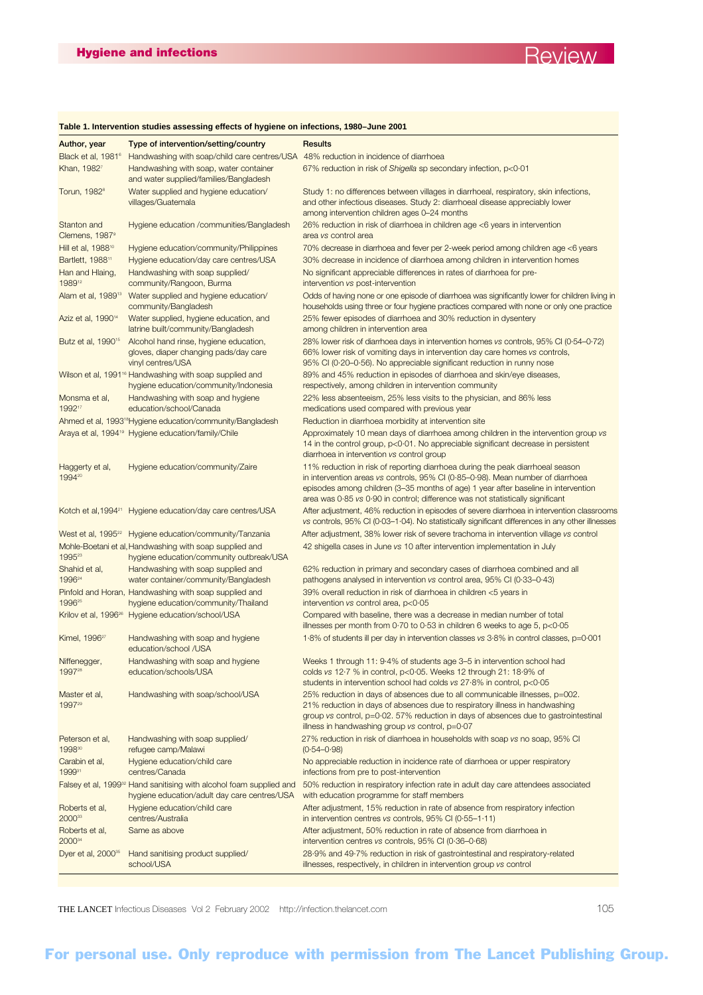| Author, year                              | Type of intervention/setting/country                                                                                            | <b>Results</b>                                                                                                                                                                                                                                                                                                                            |
|-------------------------------------------|---------------------------------------------------------------------------------------------------------------------------------|-------------------------------------------------------------------------------------------------------------------------------------------------------------------------------------------------------------------------------------------------------------------------------------------------------------------------------------------|
| Black et al, 1981 <sup>6</sup>            | Handwashing with soap/child care centres/USA                                                                                    | 48% reduction in incidence of diarrhoea                                                                                                                                                                                                                                                                                                   |
| Khan, 1982 <sup>7</sup>                   | Handwashing with soap, water container<br>and water supplied/families/Bangladesh                                                | 67% reduction in risk of Shigella sp secondary infection, p<0.01                                                                                                                                                                                                                                                                          |
| Torun, 1982 <sup>8</sup>                  | Water supplied and hygiene education/<br>villages/Guatemala                                                                     | Study 1: no differences between villages in diarrhoeal, respiratory, skin infections,<br>and other infectious diseases. Study 2: diarrhoeal disease appreciably lower<br>among intervention children ages 0-24 months                                                                                                                     |
| Stanton and<br>Clemens, 1987 <sup>9</sup> | Hygiene education /communities/Bangladesh                                                                                       | 26% reduction in risk of diarrhoea in children age <6 years in intervention<br>area vs control area                                                                                                                                                                                                                                       |
| Hill et al, $1988^{\circ}$                | Hygiene education/community/Philippines                                                                                         | 70% decrease in diarrhoea and fever per 2-week period among children age <6 years                                                                                                                                                                                                                                                         |
| Bartlett, 1988 <sup>11</sup>              | Hygiene education/day care centres/USA                                                                                          | 30% decrease in incidence of diarrhoea among children in intervention homes                                                                                                                                                                                                                                                               |
| Han and Hlaing,<br>198912                 | Handwashing with soap supplied/<br>community/Rangoon, Burma                                                                     | No significant appreciable differences in rates of diarrhoea for pre-<br>intervention vs post-intervention                                                                                                                                                                                                                                |
| Alam et al, 1989 <sup>13</sup>            | Water supplied and hygiene education/<br>community/Bangladesh                                                                   | Odds of having none or one episode of diarrhoea was significantly lower for children living in<br>households using three or four hygiene practices compared with none or only one practice                                                                                                                                                |
| Aziz et al, 1990 <sup>14</sup>            | Water supplied, hygiene education, and<br>latrine built/community/Bangladesh                                                    | 25% fewer episodes of diarrhoea and 30% reduction in dysentery<br>among children in intervention area                                                                                                                                                                                                                                     |
| Butz et al, 1990 <sup>15</sup>            | Alcohol hand rinse, hygiene education,<br>gloves, diaper changing pads/day care<br>vinyl centres/USA                            | 28% lower risk of diarrhoea days in intervention homes vs controls, 95% CI (0.54–0.72)<br>66% lower risk of vomiting days in intervention day care homes vs controls,<br>95% CI (0.20–0.56). No appreciable significant reduction in runny nose                                                                                           |
|                                           | Wilson et al, 1991 <sup>16</sup> Handwashing with soap supplied and<br>hygiene education/community/Indonesia                    | 89% and 45% reduction in episodes of diarrhoea and skin/eye diseases,<br>respectively, among children in intervention community                                                                                                                                                                                                           |
| Monsma et al,<br>199217                   | Handwashing with soap and hygiene<br>education/school/Canada                                                                    | 22% less absenteeism, 25% less visits to the physician, and 86% less<br>medications used compared with previous year                                                                                                                                                                                                                      |
|                                           | Ahmed et al, 1993 <sup>18</sup> Hygiene education/community/Bangladesh                                                          | Reduction in diarrhoea morbidity at intervention site                                                                                                                                                                                                                                                                                     |
|                                           | Araya et al, 1994 <sup>19</sup> Hygiene education/family/Chile                                                                  | Approximately 10 mean days of diarrhoea among children in the intervention group vs<br>14 in the control group, p<0.01. No appreciable significant decrease in persistent<br>diarrhoea in intervention vs control group                                                                                                                   |
| Haggerty et al,<br>199420                 | Hygiene education/community/Zaire                                                                                               | 11% reduction in risk of reporting diarrhoea during the peak diarrhoeal season<br>in intervention areas vs controls, 95% CI (0.85-0.98). Mean number of diarrhoea<br>episodes among children (3–35 months of age) 1 year after baseline in intervention<br>area was 0.85 vs 0.90 in control; difference was not statistically significant |
|                                           | Kotch et al, 1994 <sup>21</sup> Hygiene education/day care centres/USA                                                          | After adjustment, 46% reduction in episodes of severe diarrhoea in intervention classrooms<br>vs controls, 95% CI (0.03–1.04). No statistically significant differences in any other illnesses                                                                                                                                            |
|                                           | West et al, 1995 <sup>22</sup> Hygiene education/community/Tanzania                                                             | After adjustment, 38% lower risk of severe trachoma in intervention village vs control                                                                                                                                                                                                                                                    |
| 1995 <sup>23</sup>                        | Mohle-Boetani et al, Handwashing with soap supplied and<br>hygiene education/community outbreak/USA                             | 42 shigella cases in June vs 10 after intervention implementation in July                                                                                                                                                                                                                                                                 |
| Shahid et al,<br>1996 <sup>24</sup>       | Handwashing with soap supplied and<br>water container/community/Bangladesh                                                      | 62% reduction in primary and secondary cases of diarrhoea combined and all<br>pathogens analysed in intervention vs control area, 95% CI (0.33-0.43)                                                                                                                                                                                      |
|                                           | Pinfold and Horan, Handwashing with soap supplied and                                                                           | 39% overall reduction in risk of diarrhoea in children <5 years in                                                                                                                                                                                                                                                                        |
| 1996 <sup>25</sup>                        | hygiene education/community/Thailand<br>Krilov et al, 1996 <sup>26</sup> Hygiene education/school/USA                           | intervention vs control area, $p<0.05$<br>Compared with baseline, there was a decrease in median number of total                                                                                                                                                                                                                          |
| Kimel, 1996 <sup>27</sup>                 | Handwashing with soap and hygiene<br>education/school /USA                                                                      | illnesses per month from 0.70 to 0.53 in children 6 weeks to age 5, p<0.05<br>1.8% of students ill per day in intervention classes vs 3.8% in control classes, p=0.001                                                                                                                                                                    |
| Niffenegger,<br>1997 <sup>28</sup>        | Handwashing with soap and hygiene<br>education/schools/USA                                                                      | Weeks 1 through 11: 9.4% of students age 3-5 in intervention school had<br>colds vs 12.7 % in control, $p<0.05$ . Weeks 12 through 21: 18.9% of<br>students in intervention school had colds vs $27.8\%$ in control, $p<0.05$                                                                                                             |
| Master et al,<br>199729                   | Handwashing with soap/school/USA                                                                                                | 25% reduction in days of absences due to all communicable illnesses, p=002.<br>21% reduction in days of absences due to respiratory illness in handwashing<br>group vs control, $p=0.02$ . 57% reduction in days of absences due to gastrointestinal<br>illness in handwashing group vs control, $p=0.07$                                 |
| Peterson et al.<br>199830                 | Handwashing with soap supplied/<br>refugee camp/Malawi                                                                          | 27% reduction in risk of diarrhoea in households with soap vs no soap, 95% CI<br>$(0.54 - 0.98)$                                                                                                                                                                                                                                          |
| Carabin et al,<br>199931                  | Hygiene education/child care<br>centres/Canada                                                                                  | No appreciable reduction in incidence rate of diarrhoea or upper respiratory<br>infections from pre to post-intervention                                                                                                                                                                                                                  |
|                                           | Falsey et al, 1999 <sup>32</sup> Hand sanitising with alcohol foam supplied and<br>hygiene education/adult day care centres/USA | 50% reduction in respiratory infection rate in adult day care attendees associated<br>with education programme for staff members                                                                                                                                                                                                          |
| Roberts et al,<br>$2000^{33}$             | Hygiene education/child care<br>centres/Australia                                                                               | After adjustment, 15% reduction in rate of absence from respiratory infection<br>in intervention centres vs controls, $95\%$ CI (0.55-1.11)                                                                                                                                                                                               |
| Roberts et al,<br>200034                  | Same as above                                                                                                                   | After adjustment, 50% reduction in rate of absence from diarrhoea in<br>intervention centres vs controls, $95\%$ CI (0.36-0.68)                                                                                                                                                                                                           |
| Dyer et al, 2000 <sup>35</sup>            | Hand sanitising product supplied/<br>school/USA                                                                                 | 28.9% and 49.7% reduction in risk of gastrointestinal and respiratory-related<br>illnesses, respectively, in children in intervention group vs control                                                                                                                                                                                    |

#### **Table 1. Intervention studies assessing effects of hygiene on infections, 1980–June 2001**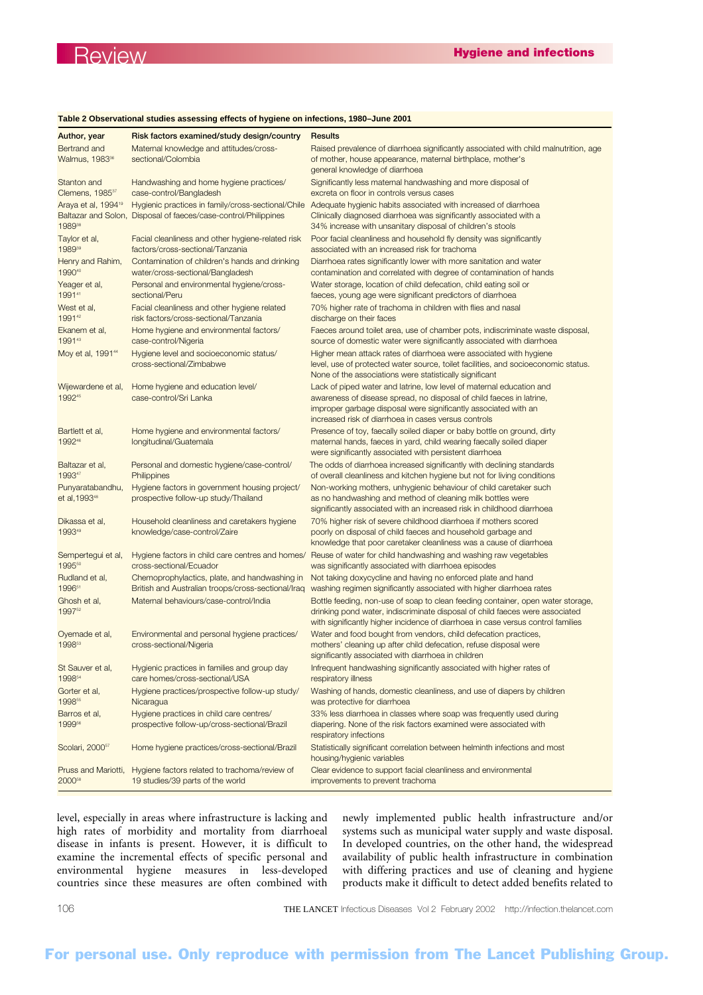#### **Table 2 Observational studies assessing effects of hygiene on infections, 1980–June 2001 Author, year Risk factors examined/study design/country Results** Bertrand and Maternal knowledge and attitudes/cross- Raised prevalence of diarrhoea significantly associated with child malnutrition, age Walmus, 1983<sup>36</sup> sectional/Colombia of mother, house appearance, maternal birthplace, mother's general knowledge of diarrhoea Stanton and Handwashing and home hygiene practices/ Significantly less maternal handwashing and more disposal of<br>Clemens, 1985<sup>37</sup> case-control/Bangladesh excreta on floor in controls versus cases **Case-control/Bangladesh excreta on floor in controls versus cases** Araya et al, 1994<sup>19</sup> Hygienic practices in family/cross-sectional/Chile Adequate hygienic habits associated with increased of diarrhoea Baltazar and Solon, Disposal of faeces/case-control/Philippines Clinically diagnosed diarrhoea was significantly associated with a 1989<sup>38</sup> 34% increase with unsanitary disposal of children's stools Taylor et al, Facial cleanliness and other hygiene-related risk Poor facial cleanliness and household fly density was significantly 1989<sup>30</sup> factors/cross-sectional/Tanzania associated with an increased risk for trachoma Henry and Rahim, Contamination of children's hands and drinking Diarrhoea rates significantly lower with more sanitation and water 199040 water/cross-sectional/Bangladesh contamination and correlated with degree of contamination of hands Yeager et al, Personal and environmental hygiene/cross- Water storage, location of child defecation, child eating soil or 1991<sup>41</sup> sectional/Peru sectional in the sectional of the sectional of the sectional of the sectional of the sectional of the section of diarrhoea West et al, Facial cleanliness and other hygiene related 70% higher rate of trachoma in children with flies and nasal 199142 risk factors/cross-sectional/Tanzania discharge on their faces Ekanem et al, Home hygiene and environmental factors/<br>
Source of domestic water were significantly associated with diarrhoea<br>
Source of domestic water were significantly associated with diarrhoea 199143 case-control/Nigeria source of domestic water were significantly associated with diarrhoea Moy et al, 1991<sup>44</sup> Hygiene level and socioeconomic status/ Higher mean attack rates of diarrhoea were associated with hygiene cross-sectional/Zimbabwe level, use of protected water source, toilet facilities, and socioeconomic status. None of the associations were statistically significant Wijewardene et al, Home hygiene and education level/ Lack of piped water and latrine, low level of maternal education and<br>1992<sup>\*</sup> awareness of disease spread, no disposal of child faeces in latrine, awareness of disease spread, no disposal of child faeces in latrine, improper garbage disposal were significantly associated with an increased risk of diarrhoea in cases versus controls Bartlett et al, Home hygiene and environmental factors/ Presence of toy, faecally soiled diaper or baby bottle on ground, dirty 199246 longitudinal/Guatemala maternal hands, faeces in yard, child wearing faecally soiled diaper were significantly associated with persistent diarrhoea Baltazar et al, Personal and domestic hygiene/case-control/ The odds of diarrhoea increased significantly with declining standards 1993<sup>47</sup> Philippines **Philippines Conditions** of overall cleanliness and kitchen hygiene but not for living conditions Punyaratabandhu, Hygiene factors in government housing project/ Non-working mothers, unhygienic behaviour of child caretaker such<br>et al.1993<sup>46</sup> prospective follow-up study/Thailand as no handwashing and method of cleaning prospective follow-up study/Thailand as no handwashing and method of cleaning milk bottles were significantly associated with an increased risk in childhood diarrhoea Dikassa et al, Household cleanliness and caretakers hygiene 70% higher risk of severe childhood diarrhoea if mothers scored 199349 knowledge/case-control/Zaire poorly on disposal of child faeces and household garbage and knowledge that poor caretaker cleanliness was a cause of diarrhoea Sempertegui et al, Hygiene factors in child care centres and homes/ Reuse of water for child handwashing and washing raw vegetables 1995<sup>50</sup> cross-sectional/Ecuador was significantly associated with diarrhoea episodes Rudland et al, Chemoprophylactics, plate, and handwashing in Not taking doxycycline and having no enforced plate and hand 199651 British and Australian troops/cross-sectional/Iraq washing regimen significantly associated with higher diarrhoea rates Ghosh et al, Maternal behaviours/case-control/India Bottle feeding, non-use of soap to clean feeding container, open water storage, 199752 drinking pond water, indiscriminate disposal of child faeces were associated with significantly higher incidence of diarrhoea in case versus control families Oyemade et al, Environmental and personal hygiene practices/ Water and food bought from vendors, child defecation practices, 1998<sup>58</sup> mothers' cleaning up after child defecation, refuse disposal were 1998<sup>53</sup> cross-sectional/Nigeria mothers' cleaning up after child defecation, refuse disposal were significantly associated with diarrhoea in children St Sauver et al. Hygienic practices in families and group day Infrequent handwashing significantly associated with higher rates of 1998<sup>54</sup> care homes/cross-sectional/USA respiratory illness Gorter et al, Hygiene practices/prospective follow-up study/ Washing of hands, domestic cleanliness, and use of diapers by children 1998<sup>55</sup> Nicaragua Was protective for diarrhoea Barros et al, Hygiene practices in child care centres/ 33% less diarrhoea in classes where soap was frequently used during 1999<sup>56</sup> prospective follow-up/cross-sectional/Brazil diapering. None of the risk factors examined were associated with respiratory infections Scolari, 2000<sup>57</sup> Home hygiene practices/cross-sectional/Brazil Statistically significant correlation between helminth infections and most housing/hygienic variables Pruss and Mariotti, Hygiene factors related to trachoma/review of Clear evidence to support facial cleanliness and environmental 200058 19 studies/39 parts of the world improvements to prevent trachoma

level, especially in areas where infrastructure is lacking and high rates of morbidity and mortality from diarrhoeal disease in infants is present. However, it is difficult to examine the incremental effects of specific personal and environmental hygiene measures in less-developed countries since these measures are often combined with newly implemented public health infrastructure and/or systems such as municipal water supply and waste disposal. In developed countries, on the other hand, the widespread availability of public health infrastructure in combination with differing practices and use of cleaning and hygiene products make it difficult to detect added benefits related to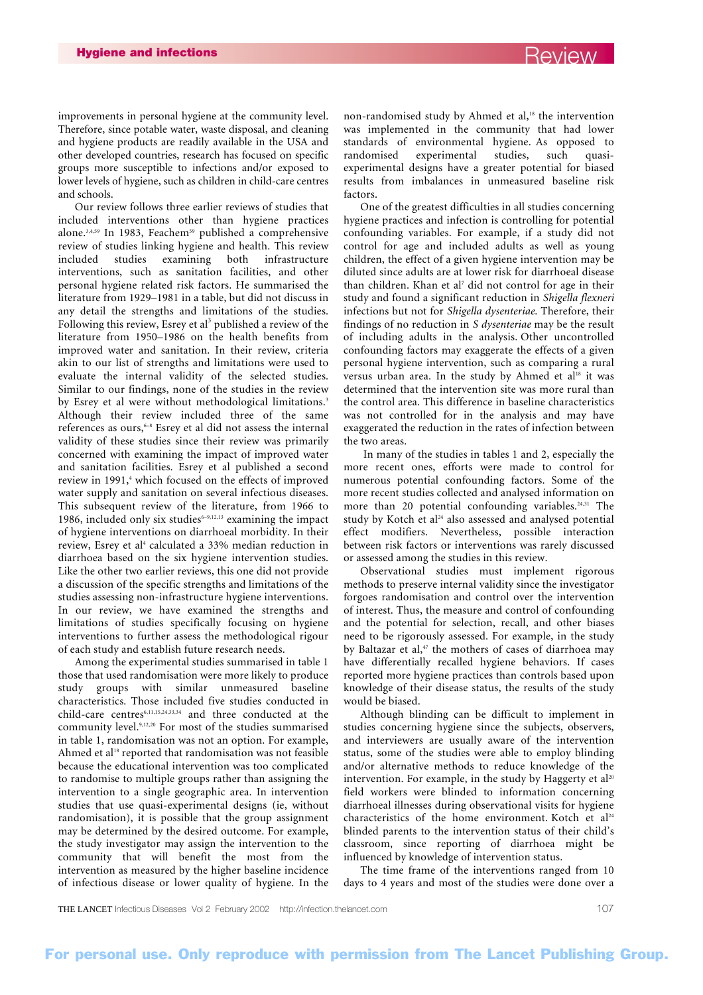improvements in personal hygiene at the community level. Therefore, since potable water, waste disposal, and cleaning and hygiene products are readily available in the USA and other developed countries, research has focused on specific groups more susceptible to infections and/or exposed to lower levels of hygiene, such as children in child-care centres and schools.

Our review follows three earlier reviews of studies that included interventions other than hygiene practices alone.<sup>3,4,59</sup> In 1983, Feachem<sup>59</sup> published a comprehensive review of studies linking hygiene and health. This review<br>included studies examining both infrastructure included studies examining both infrastructure interventions, such as sanitation facilities, and other personal hygiene related risk factors. He summarised the literature from 1929–1981 in a table, but did not discuss in any detail the strengths and limitations of the studies. Following this review, Esrey et al<sup>3</sup> published a review of the literature from 1950–1986 on the health benefits from improved water and sanitation. In their review, criteria akin to our list of strengths and limitations were used to evaluate the internal validity of the selected studies. Similar to our findings, none of the studies in the review by Esrey et al were without methodological limitations.<sup>3</sup> Although their review included three of the same references as ours,<sup>6-8</sup> Esrey et al did not assess the internal validity of these studies since their review was primarily concerned with examining the impact of improved water and sanitation facilities. Esrey et al published a second review in 1991,<sup>4</sup> which focused on the effects of improved water supply and sanitation on several infectious diseases. This subsequent review of the literature, from 1966 to 1986, included only six studies $6-9,12,13$  examining the impact of hygiene interventions on diarrhoeal morbidity. In their review, Esrey et al<sup>4</sup> calculated a 33% median reduction in diarrhoea based on the six hygiene intervention studies. Like the other two earlier reviews, this one did not provide a discussion of the specific strengths and limitations of the studies assessing non-infrastructure hygiene interventions. In our review, we have examined the strengths and limitations of studies specifically focusing on hygiene interventions to further assess the methodological rigour of each study and establish future research needs.

Among the experimental studies summarised in table 1 those that used randomisation were more likely to produce study groups with similar unmeasured baseline characteristics. Those included five studies conducted in child-care centres<sup>6,11,15,24,33,34</sup> and three conducted at the community level.9,12,20 For most of the studies summarised in table 1, randomisation was not an option. For example, Ahmed et al<sup>18</sup> reported that randomisation was not feasible because the educational intervention was too complicated to randomise to multiple groups rather than assigning the intervention to a single geographic area. In intervention studies that use quasi-experimental designs (ie, without randomisation), it is possible that the group assignment may be determined by the desired outcome. For example, the study investigator may assign the intervention to the community that will benefit the most from the intervention as measured by the higher baseline incidence of infectious disease or lower quality of hygiene. In the

non-randomised study by Ahmed et al,<sup>18</sup> the intervention was implemented in the community that had lower standards of environmental hygiene. As opposed to randomised experimental studies, such quasiexperimental designs have a greater potential for biased results from imbalances in unmeasured baseline risk factors.

One of the greatest difficulties in all studies concerning hygiene practices and infection is controlling for potential confounding variables. For example, if a study did not control for age and included adults as well as young children, the effect of a given hygiene intervention may be diluted since adults are at lower risk for diarrhoeal disease than children. Khan et al<sup>7</sup> did not control for age in their study and found a significant reduction in *Shigella flexneri* infections but not for *Shigella dysenteriae*. Therefore, their findings of no reduction in *S dysenteriae* may be the result of including adults in the analysis. Other uncontrolled confounding factors may exaggerate the effects of a given personal hygiene intervention, such as comparing a rural versus urban area. In the study by Ahmed et al<sup>18</sup> it was determined that the intervention site was more rural than the control area. This difference in baseline characteristics was not controlled for in the analysis and may have exaggerated the reduction in the rates of infection between the two areas.

In many of the studies in tables 1 and 2, especially the more recent ones, efforts were made to control for numerous potential confounding factors. Some of the more recent studies collected and analysed information on more than 20 potential confounding variables. $24,31$  The study by Kotch et al<sup>24</sup> also assessed and analysed potential effect modifiers. Nevertheless, possible interaction between risk factors or interventions was rarely discussed or assessed among the studies in this review.

Observational studies must implement rigorous methods to preserve internal validity since the investigator forgoes randomisation and control over the intervention of interest. Thus, the measure and control of confounding and the potential for selection, recall, and other biases need to be rigorously assessed. For example, in the study by Baltazar et al,<sup>47</sup> the mothers of cases of diarrhoea may have differentially recalled hygiene behaviors. If cases reported more hygiene practices than controls based upon knowledge of their disease status, the results of the study would be biased.

Although blinding can be difficult to implement in studies concerning hygiene since the subjects, observers, and interviewers are usually aware of the intervention status, some of the studies were able to employ blinding and/or alternative methods to reduce knowledge of the intervention. For example, in the study by Haggerty et  $al^{20}$ field workers were blinded to information concerning diarrhoeal illnesses during observational visits for hygiene characteristics of the home environment. Kotch et al<sup>24</sup> blinded parents to the intervention status of their child's classroom, since reporting of diarrhoea might be influenced by knowledge of intervention status.

The time frame of the interventions ranged from 10 days to 4 years and most of the studies were done over a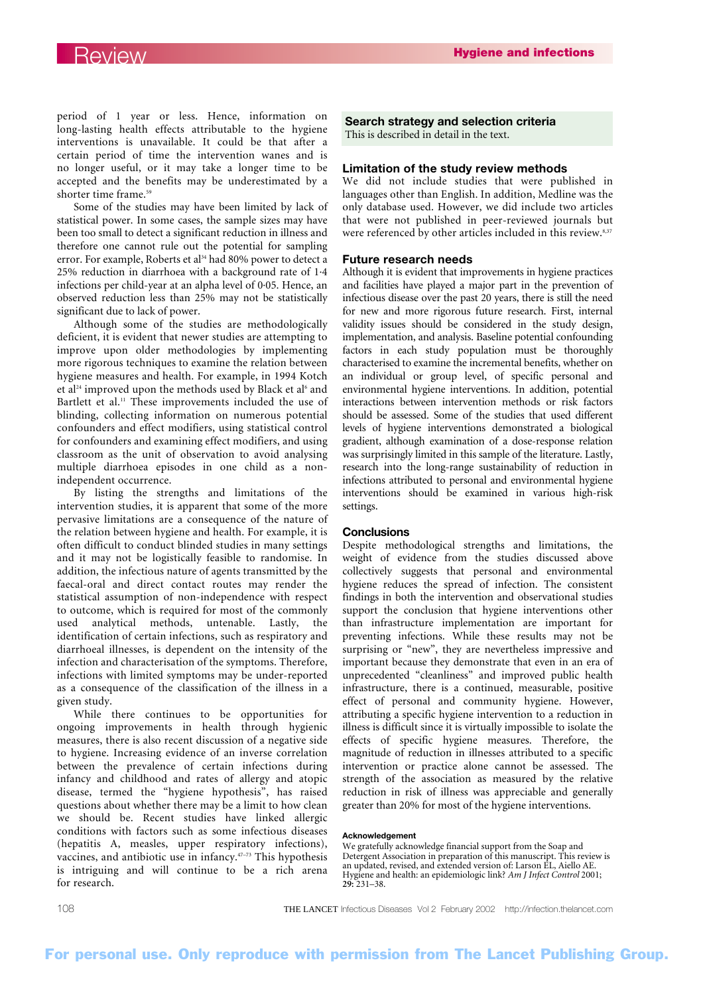period of 1 year or less. Hence, information on long-lasting health effects attributable to the hygiene interventions is unavailable. It could be that after a certain period of time the intervention wanes and is no longer useful, or it may take a longer time to be accepted and the benefits may be underestimated by a shorter time frame.<sup>59</sup>

Some of the studies may have been limited by lack of statistical power. In some cases, the sample sizes may have been too small to detect a significant reduction in illness and therefore one cannot rule out the potential for sampling error. For example, Roberts et al<sup>34</sup> had 80% power to detect a 25% reduction in diarrhoea with a background rate of 1·4 infections per child-year at an alpha level of 0·05. Hence, an observed reduction less than 25% may not be statistically significant due to lack of power.

Although some of the studies are methodologically deficient, it is evident that newer studies are attempting to improve upon older methodologies by implementing more rigorous techniques to examine the relation between hygiene measures and health. For example, in 1994 Kotch et al<sup>24</sup> improved upon the methods used by Black et al<sup>6</sup> and Bartlett et al.<sup>11</sup> These improvements included the use of blinding, collecting information on numerous potential confounders and effect modifiers, using statistical control for confounders and examining effect modifiers, and using classroom as the unit of observation to avoid analysing multiple diarrhoea episodes in one child as a nonindependent occurrence.

By listing the strengths and limitations of the intervention studies, it is apparent that some of the more pervasive limitations are a consequence of the nature of the relation between hygiene and health. For example, it is often difficult to conduct blinded studies in many settings and it may not be logistically feasible to randomise. In addition, the infectious nature of agents transmitted by the faecal-oral and direct contact routes may render the statistical assumption of non-independence with respect to outcome, which is required for most of the commonly used analytical methods, untenable. Lastly, the identification of certain infections, such as respiratory and diarrhoeal illnesses, is dependent on the intensity of the infection and characterisation of the symptoms. Therefore, infections with limited symptoms may be under-reported as a consequence of the classification of the illness in a given study.

While there continues to be opportunities for ongoing improvements in health through hygienic measures, there is also recent discussion of a negative side to hygiene. Increasing evidence of an inverse correlation between the prevalence of certain infections during infancy and childhood and rates of allergy and atopic disease, termed the "hygiene hypothesis", has raised questions about whether there may be a limit to how clean we should be. Recent studies have linked allergic conditions with factors such as some infectious diseases (hepatitis A, measles, upper respiratory infections), vaccines, and antibiotic use in infancy.<sup>47-73</sup> This hypothesis is intriguing and will continue to be a rich arena for research.

**Search strategy and selection criteria** This is described in detail in the text.

# **Limitation of the study review methods**

We did not include studies that were published in languages other than English. In addition, Medline was the only database used. However, we did include two articles that were not published in peer-reviewed journals but were referenced by other articles included in this review.8,37

# **Future research needs**

Although it is evident that improvements in hygiene practices and facilities have played a major part in the prevention of infectious disease over the past 20 years, there is still the need for new and more rigorous future research. First, internal validity issues should be considered in the study design, implementation, and analysis. Baseline potential confounding factors in each study population must be thoroughly characterised to examine the incremental benefits, whether on an individual or group level, of specific personal and environmental hygiene interventions. In addition, potential interactions between intervention methods or risk factors should be assessed. Some of the studies that used different levels of hygiene interventions demonstrated a biological gradient, although examination of a dose-response relation was surprisingly limited in this sample of the literature. Lastly, research into the long-range sustainability of reduction in infections attributed to personal and environmental hygiene interventions should be examined in various high-risk settings.

#### **Conclusions**

Despite methodological strengths and limitations, the weight of evidence from the studies discussed above collectively suggests that personal and environmental hygiene reduces the spread of infection. The consistent findings in both the intervention and observational studies support the conclusion that hygiene interventions other than infrastructure implementation are important for preventing infections. While these results may not be surprising or "new", they are nevertheless impressive and important because they demonstrate that even in an era of unprecedented "cleanliness" and improved public health infrastructure, there is a continued, measurable, positive effect of personal and community hygiene. However, attributing a specific hygiene intervention to a reduction in illness is difficult since it is virtually impossible to isolate the effects of specific hygiene measures. Therefore, the magnitude of reduction in illnesses attributed to a specific intervention or practice alone cannot be assessed. The strength of the association as measured by the relative reduction in risk of illness was appreciable and generally greater than 20% for most of the hygiene interventions.

#### **Acknowledgement**

We gratefully acknowledge financial support from the Soap and Detergent Association in preparation of this manuscript. This review is an updated, revised, and extended version of: Larson EL, Aiello AE. Hygiene and health: an epidemiologic link? *Am J Infect Control* 2001; **29:** 231–38.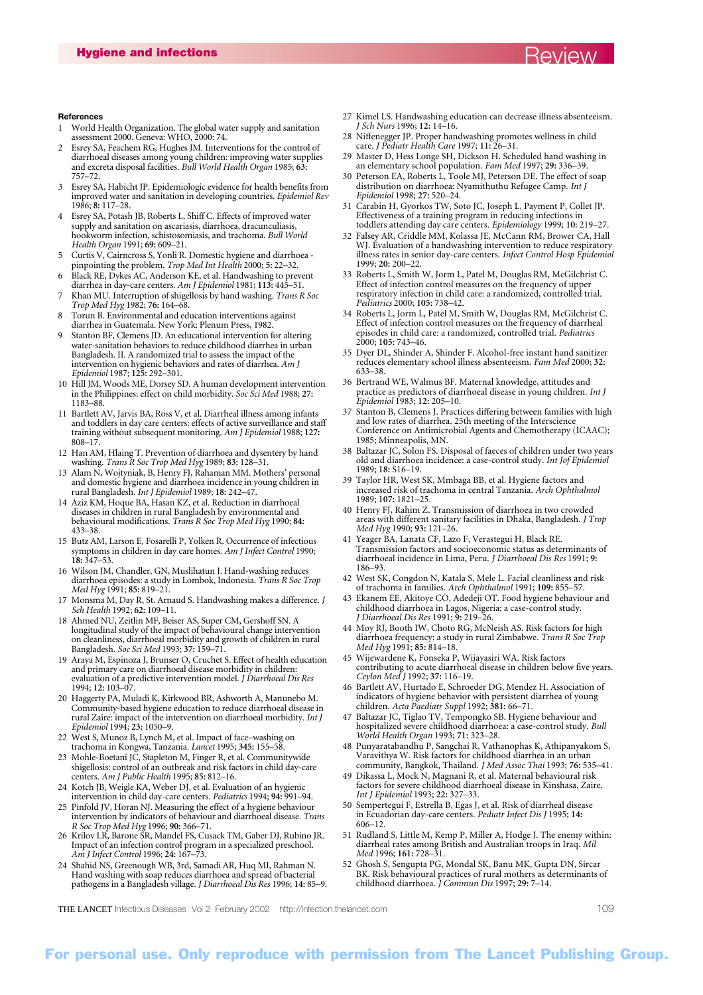

#### **References**

- 1 World Health Organization. The global water supply and sanitation assessment 2000. Geneva: WHO, 2000: 74.
- 2 Esrey SA, Feachem RG, Hughes JM. Interventions for the control of diarrhoeal diseases among young children: improving water supplies and excreta disposal facilities. *Bull World Health Organ* 1985; **63:** 757–72.
- 3 Esrey SA, Habicht JP. Epidemiologic evidence for health benefits from improved water and sanitation in developing countries. *Epidemiol Rev* 1986; **8:** 117–28.
- Esrey SA, Potash JB, Roberts L, Shiff C. Effects of improved water supply and sanitation on ascariasis, diarrhoea, dracunculiasis, hookworm infection, schistosomiasis, and trachoma. *Bull World Health Organ* 1991; **69:** 609–21.
- 5 Curtis V, Cairncross S, Yonli R. Domestic hygiene and diarrhoea pinpointing the problem. *Trop Med Int Health* 2000; **5:** 22–32.
- Black RE, Dykes AC, Anderson KE, et al. Handwashing to prevent diarrhea in day-care centers. *Am J Epidemiol* 1981; **113:** 445–51.
- 7 Khan MU. Interruption of shigellosis by hand washing. *Trans R Soc Trop Med Hyg* 1982; **76:** 164–68.
- 8 Torun B. Environmental and education interventions against diarrhea in Guatemala. New York: Plenum Press, 1982.
- Stanton BF, Clemens JD. An educational intervention for altering water-sanitation behaviors to reduce childhood diarrhea in urban Bangladesh. II. A randomized trial to assess the impact of the intervention on hygienic behaviors and rates of diarrhea. *Am J Epidemiol* 1987; **125:** 292–301.
- 10 Hill JM, Woods ME, Dorsey SD. A human development intervention in the Philippines: effect on child morbidity. *Soc Sci Med* 1988; **27:** 1183–88.
- 11 Bartlett AV, Jarvis BA, Ross V, et al. Diarrheal illness among infants and toddlers in day care centers: effects of active surveillance and staff training without subsequent monitoring. *Am J Epidemiol* 1988; **127:** 808–17.
- 12 Han AM, Hlaing T. Prevention of diarrhoea and dysentery by hand washing. *Trans R Soc Trop Med Hyg* 1989; **83:** 128–31.
- 13 Alam N, Wojtyniak, B, Henry FJ, Rahaman MM. Mothers' personal and domestic hygiene and diarrhoea incidence in young children in rural Bangladesh. *Int J Epidemiol* 1989; **18:** 242–47.
- 14 Aziz KM, Hoque BA, Hasan KZ, et al. Reduction in diarrhoeal diseases in children in rural Bangladesh by environmental and behavioural modifications. *Trans R Soc Trop Med Hyg* 1990; **84:** 433–38.
- 15 Butz AM, Larson E, Fosarelli P, Yolken R. Occurrence of infectious symptoms in children in day care homes. *Am J Infect Control* 1990; **18:** 347–53.
- 16 Wilson JM, Chandler, GN, Muslihatun J. Hand-washing reduces diarrhoea episodes: a study in Lombok, Indonesia. *Trans R Soc Trop Med Hyg* 1991; **85:** 819–21.
- 17 Monsma M, Day R, St. Arnaud S. Handwashing makes a difference. *J Sch Health* 1992; **62:** 109–11.
- 18 Ahmed NU, Zeitlin MF, Beiser AS, Super CM, Gershoff SN. A longitudinal study of the impact of behavioural change intervention on cleanliness, diarrhoeal morbidity and growth of children in rural Bangladesh. *Soc Sci Med* 1993; **37:** 159–71.
- 19 Araya M, Espinoza J, Brunser O, Cruchet S. Effect of health education and primary care on diarrhoeal disease morbidity in children: evaluation of a predictive intervention model. *J Diarrhoeal Dis Res* 1994; **12:** 103–07.
- 20 Haggerty PA, Muladi K, Kirkwood BR, Ashworth A, Manunebo M. Community-based hygiene education to reduce diarrhoeal disease in rural Zaire: impact of the intervention on diarrhoeal morbidity. *Int J Epidemiol* 1994; **23:** 1050–9.
- 22 West S, Munoz B, Lynch M, et al. Impact of face–washing on trachoma in Kongwa, Tanzania. *Lancet* 1995; **345:** 155–58.
- 23 Mohle-Boetani JC, Stapleton M, Finger R, et al. Communitywide shigellosis: control of an outbreak and risk factors in child day-care centers. *Am J Public Health* 1995; **85:** 812–16.
- 24 Kotch JB, Weigle KA, Weber DJ, et al. Evaluation of an hygienic intervention in child day-care centers. *Pediatrics* 1994; **94:** 991–94.
- 25 Pinfold JV, Horan NJ. Measuring the effect of a hygiene behaviour intervention by indicators of behaviour and diarrhoeal disease. *Trans R Soc Trop Med Hyg* 1996; **90:** 366–71.
- 26 Krilov LR, Barone SR, Mandel FS, Cusack TM, Gaber DJ, Rubino JR. Impact of an infection control program in a specialized preschool. *Am J Infect Control* 1996; **24:** 167–73.
- 24 Shahid NS, Greenough WB, 3rd, Samadi AR, Huq MI, Rahman N. Hand washing with soap reduces diarrhoea and spread of bacterial pathogens in a Bangladesh village. *J Diarrhoeal Dis Res* 1996; **14:** 85–9.
- 27 Kimel LS. Handwashing education can decrease illness absenteeism. *J Sch Nurs* 1996; **12:** 14–16.
- 28 Niffenegger JP. Proper handwashing promotes wellness in child care. *J Pediatr Health Care* 1997; **11:** 26–31.
- 29 Master D, Hess Longe SH, Dickson H. Scheduled hand washing in an elementary school population. *Fam Med* 1997; **29:** 336–39.
- 30 Peterson EA, Roberts L, Toole MJ, Peterson DE. The effect of soap distribution on diarrhoea: Nyamithuthu Refugee Camp. *Int J Epidemiol* 1998; **27:** 520–24.
- 31 Carabin H, Gyorkos TW, Soto JC, Joseph L, Payment P, Collet JP. Effectiveness of a training program in reducing infections in toddlers attending day care centers. *Epidemiology* 1999; **10:** 219–27.
- 32 Falsey AR, Criddle MM, Kolassa JE, McCann RM, Brower CA, Hall WJ. Evaluation of a handwashing intervention to reduce respiratory illness rates in senior day-care centers. *Infect Control Hosp Epidemiol* 1999; **20:** 200–22.
- 33 Roberts L, Smith W, Jorm L, Patel M, Douglas RM, McGilchrist C. Effect of infection control measures on the frequency of uppe respiratory infection in child care: a randomized, controlled trial. *Pediatrics* 2000; **105:** 738–42.
- 34 Roberts L, Jorm L, Patel M, Smith W, Douglas RM, McGilchrist C. Effect of infection control measures on the frequency of diarrheal episodes in child care: a randomized, controlled trial. *Pediatrics* 2000; **105:** 743–46.
- 35 Dyer DL, Shinder A, Shinder F. Alcohol-free instant hand sanitizer reduces elementary school illness absenteeism. *Fam Med* 2000; **32:** 633–38.
- 36 Bertrand WE, Walmus BF. Maternal knowledge, attitudes and practice as predictors of diarrhoeal disease in young children. *Int J Epidemiol* 1983; **12:** 205–10.
- 37 Stanton B, Clemens J. Practices differing between families with high and low rates of diarrhea. 25th meeting of the Interscience Conference on Antimicrobial Agents and Chemotherapy (ICAAC); 1985; Minneapolis, MN.
- 38 Baltazar JC, Solon FS. Disposal of faeces of children under two years old and diarrhoea incidence: a case-control study. *Int Jof Epidemiol* 1989; **18:** S16–19.
- 39 Taylor HR, West SK, Mmbaga BB, et al. Hygiene factors and increased risk of trachoma in central Tanzania. *Arch Ophthalmol* 1989; **107:** 1821–25.
- 40 Henry FJ, Rahim Z. Transmission of diarrhoea in two crowded areas with different sanitary facilities in Dhaka, Bangladesh. *J Trop Med Hyg* 1990; **93:** 121–26.
- 41 Yeager BA, Lanata CF, Lazo F, Verastegui H, Black RE. Transmission factors and socioeconomic status as determinants of diarrhoeal incidence in Lima, Peru. *J Diarrhoeal Dis Res* 1991; **9:** 186–93.
- 42 West SK, Congdon N, Katala S, Mele L. Facial cleanliness and risk of trachoma in families. *Arch Ophthalmol* 1991; **109:** 855–57.
- 43 Ekanem EE, Akitoye CO, Adedeji OT. Food hygiene behaviour and childhood diarrhoea in Lagos, Nigeria: a case-control study. *J Diarrhoeal Dis Res* 1991; **9:** 219–26.
- 44 Moy RJ, Booth IW, Choto RG, McNeish AS. Risk factors for high diarrhoea frequency: a study in rural Zimbabwe. *Trans R Soc Trop Med Hyg* 1991; **85:** 814–18.
- 45 Wijewardene K, Fonseka P, Wijayasiri WA. Risk factors contributing to acute diarrhoeal disease in children below five years. *Ceylon Med J* 1992; **37:** 116–19.
- 46 Bartlett AV, Hurtado E, Schroeder DG, Mendez H. Association of indicators of hygiene behavior with persistent diarrhea of young children. *Acta Paediatr Suppl* 1992; **381:** 66–71.
- 47 Baltazar JC, Tiglao TV, Tempongko SB. Hygiene behaviour and hospitalized severe childhood diarrhoea: a case-control study. *Bull World Health Organ* 1993; **71:** 323–28.
- 48 Punyaratabandhu P, Sangchai R, Vathanophas K, Athipanyakom S, Varavithya W. Risk factors for childhood diarrhea in an urban community, Bangkok, Thailand. *J Med Assoc Thai* 1993; **76:** 535–41.
- 49 Dikassa L, Mock N, Magnani R, et al. Maternal behavioural risk factors for severe childhood diarrhoeal disease in Kinshasa, Zaire. *Int J Epidemiol* 1993; **22:** 327–33.
- 50 Sempertegui F, Estrella B, Egas J, et al. Risk of diarrheal disease in Ecuadorian day-care centers. *Pediatr Infect Dis J* 1995; **14:** 606–12.
- 51 Rudland S, Little M, Kemp P, Miller A, Hodge J. The enemy within: diarrheal rates among British and Australian troops in Iraq. *Mil Med* 1996; **161:** 728–31.
- 52 Ghosh S, Sengupta PG, Mondal SK, Banu MK, Gupta DN, Sircar BK. Risk behavioural practices of rural mothers as determinants of childhood diarrhoea. *J Commun Dis* 1997; **29:** 7–14.